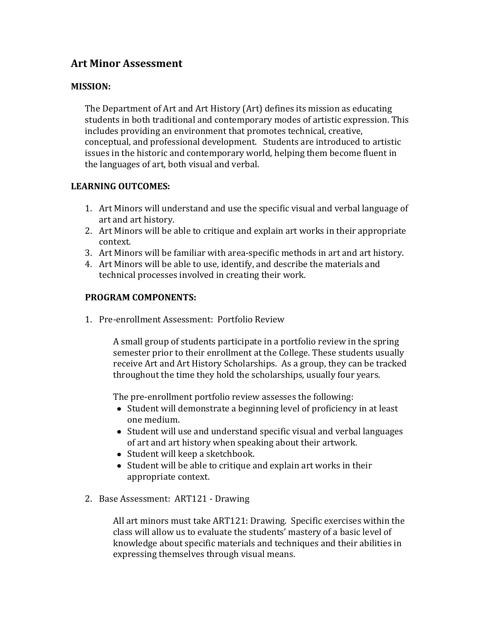# **Art Minor Assessment**

#### **MISSION:**

The Department of Art and Art History (Art) defines its mission as educating students in both traditional and contemporary modes of artistic expression. This includes providing an environment that promotes technical, creative, conceptual, and professional development. Students are introduced to artistic issues in the historic and contemporary world, helping them become fluent in the languages of art, both visual and verbal.

## **LEARNING OUTCOMES:**

- 1. Art Minors will understand and use the specific visual and verbal language of art and art history.
- 2. Art Minors will be able to critique and explain art works in their appropriate context.
- 3. Art Minors will be familiar with area-specific methods in art and art history.
- 4. Art Minors will be able to use, identify, and describe the materials and technical processes involved in creating their work.

## **PROGRAM COMPONENTS:**

1. Pre-enrollment Assessment: Portfolio Review

A small group of students participate in a portfolio review in the spring semester prior to their enrollment at the College. These students usually receive Art and Art History Scholarships. As a group, they can be tracked throughout the time they hold the scholarships, usually four years.

The pre-enrollment portfolio review assesses the following:

- Student will demonstrate a beginning level of proficiency in at least one medium.
- Student will use and understand specific visual and verbal languages of art and art history when speaking about their artwork.
- Student will keep a sketchbook.
- Student will be able to critique and explain art works in their appropriate context.
- 2. Base Assessment: ART121 Drawing

All art minors must take ART121: Drawing. Specific exercises within the class will allow us to evaluate the students' mastery of a basic level of knowledge about specific materials and techniques and their abilities in expressing themselves through visual means.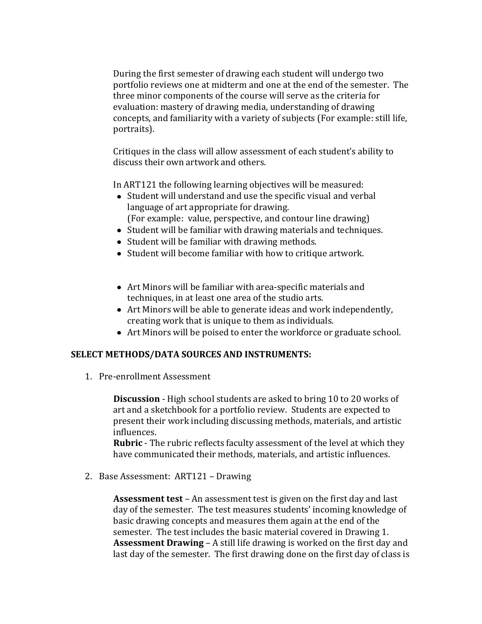During the first semester of drawing each student will undergo two portfolio reviews one at midterm and one at the end of the semester. The three minor components of the course will serve as the criteria for evaluation: mastery of drawing media, understanding of drawing concepts, and familiarity with a variety of subjects (For example: still life, portraits).

Critiques in the class will allow assessment of each student's ability to discuss their own artwork and others.

In ART121 the following learning objectives will be measured:

- Student will understand and use the specific visual and verbal language of art appropriate for drawing. (For example: value, perspective, and contour line drawing)
- Student will be familiar with drawing materials and techniques.
- Student will be familiar with drawing methods.
- Student will become familiar with how to critique artwork.
- Art Minors will be familiar with area-specific materials and techniques, in at least one area of the studio arts.
- Art Minors will be able to generate ideas and work independently, creating work that is unique to them as individuals.
- Art Minors will be poised to enter the workforce or graduate school.

# **SELECT METHODS/DATA SOURCES AND INSTRUMENTS:**

1. Pre-enrollment Assessment

**Discussion** - High school students are asked to bring 10 to 20 works of art and a sketchbook for a portfolio review. Students are expected to present their work including discussing methods, materials, and artistic influences.

**Rubric** - The rubric reflects faculty assessment of the level at which they have communicated their methods, materials, and artistic influences.

2. Base Assessment: ART121 – Drawing

**Assessment test** – An assessment test is given on the first day and last day of the semester. The test measures students' incoming knowledge of basic drawing concepts and measures them again at the end of the semester. The test includes the basic material covered in Drawing 1. **Assessment Drawing** – A still life drawing is worked on the first day and last day of the semester. The first drawing done on the first day of class is